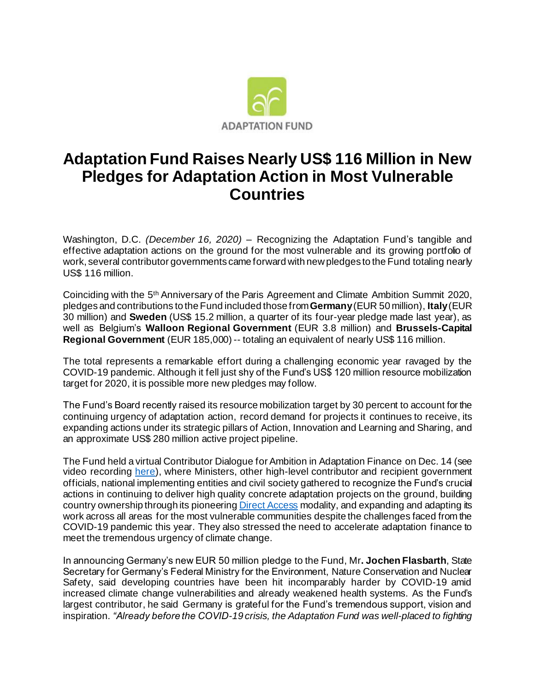

## **Adaptation Fund Raises Nearly US\$ 116 Million in New Pledges for Adaptation Action in Most Vulnerable Countries**

Washington, D.C. *(December 16, 2020)* – Recognizing the Adaptation Fund's tangible and effective adaptation actions on the ground for the most vulnerable and its growing portfolio of work, several contributor governments came forward with new pledges to the Fund totaling nearly US\$ 116 million.

Coinciding with the 5<sup>th</sup> Anniversary of the Paris Agreement and Climate Ambition Summit 2020, pledges and contributions to the Fund included those from **Germany**(EUR 50 million), **Italy**(EUR 30 million) and **Sweden** (US\$ 15.2 million, a quarter of its four-year pledge made last year), as well as Belgium's **Walloon Regional Government** (EUR 3.8 million) and **Brussels-Capital Regional Government** (EUR 185,000) -- totaling an equivalent of nearly US\$ 116 million.

The total represents a remarkable effort during a challenging economic year ravaged by the COVID-19 pandemic. Although it fell just shy of the Fund's US\$ 120 million resource mobilization target for 2020, it is possible more new pledges may follow.

The Fund's Board recently raised its resource mobilization target by 30 percent to account for the continuing urgency of adaptation action, record demand for projects it continues to receive, its expanding actions under its strategic pillars of Action, Innovation and Learning and Sharing, and an approximate US\$ 280 million active project pipeline.

The Fund held a virtual Contributor Dialogue for Ambition in Adaptation Finance on Dec. 14 (see video recordin[g here\)](https://www.adaptation-fund.org/adaptation-fund-contributor-dialogue-for-ambition-in-adaptation-finance/), where Ministers, other high-level contributor and recipient government officials, national implementing entities and civil society gathered to recognize the Fund's crucial actions in continuing to deliver high quality concrete adaptation projects on the ground, building country ownership through its pioneerin[g Direct Access](https://www.adaptation-fund.org/about/direct-access/) modality, and expanding and adapting its work across all areas for the most vulnerable communities despite the challenges faced from the COVID-19 pandemic this year. They also stressed the need to accelerate adaptation finance to meet the tremendous urgency of climate change.

In announcing Germany's new EUR 50 million pledge to the Fund, Mr**. Jochen Flasbarth**, State Secretary for Germany's Federal Ministry for the Environment, Nature Conservation and Nuclear Safety, said developing countries have been hit incomparably harder by COVID-19 amid increased climate change vulnerabilities and already weakened health systems. As the Fund's largest contributor, he said Germany is grateful for the Fund's tremendous support, vision and inspiration. *"Already before the COVID-19 crisis, the Adaptation Fund was well-placed to fighting*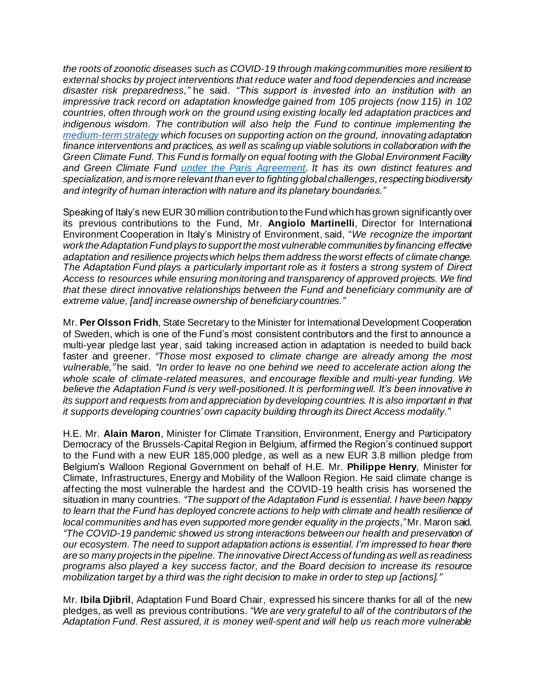*the roots of zoonotic diseases such as COVID-19 through making communities more resilient to external shocks by project interventions that reduce water and food dependencies and increase disaster risk preparedness,"* he said. *"This support is invested into an institution with an impressive track record on adaptation knowledge gained from 105 projects (now 115) in 102 countries, often through work on the ground using existing locally led adaptation practices and indigenous wisdom. The contribution will also help the Fund to continue implementing the [medium-term](https://www.adaptation-fund.org/adaptation-fund-five-year-strategy-fosters-activities-based-pillars-action-innovation-learning-sharing/) strategy which focuses on supporting action on the ground, innovating adaptation finance interventions and practices, as well as scaling up viable solutions in collaboration with the Green Climate Fund. This Fund is formally on equal footing with the Global Environment Facility and Green Climate Fund [under the Paris Agreement](https://www.adaptation-fund.org/adaptation-fund-shall-serve-paris-agreement-starting-january-1st-2019/). It has its own distinct features and specialization, and is more relevant than ever to fighting global challenges, respecting biodiversity and integrity of human interaction with nature and its planetary boundaries."*

Speaking of Italy's new EUR 30 million contribution to the Fund which has grown significantly over its previous contributions to the Fund, Mr. **Angiolo Martinelli**, Director for International Environment Cooperation in Italy's Ministry of Environment, said, "*We recognize the important work the Adaptation Fund plays to support the most vulnerable communities by financing effective adaptation and resilience projects which helps them address the worst effects of climate change. The Adaptation Fund plays a particularly important role as it fosters a strong system of Direct Access to resources while ensuring monitoring and transparency of approved projects. We find that these direct innovative relationships between the Fund and beneficiary community are of extreme value, [and] increase ownership of beneficiary countries."*

Mr. **Per Olsson Fridh**, State Secretary to the Minister for International Development Cooperation of Sweden, which is one of the Fund's most consistent contributors and the first to announce a multi-year pledge last year, said taking increased action in adaptation is needed to build back faster and greener. *"Those most exposed to climate change are already among the most vulnerable,"* he said. *"In order to leave no one behind we need to accelerate action along the whole scale of climate-related measures, and encourage flexible and multi-year funding. We believe the Adaptation Fund is very well-positioned. It is performing well. It's been innovative in its support and requests from and appreciation by developing countries. It is also important in that it supports developing countries' own capacity building through its Direct Access modality."*

H.E. Mr. **Alain Maron**, Minister for Climate Transition, Environment, Energy and Participatory Democracy of the Brussels-Capital Region in Belgium, affirmed the Region's continued support to the Fund with a new EUR 185,000 pledge, as well as a new EUR 3.8 million pledge from Belgium's Walloon Regional Government on behalf of H.E. Mr. **Philippe Henry**, Minister for Climate, Infrastructures, Energy and Mobility of the Walloon Region. He said climate change is affecting the most vulnerable the hardest and the COVID-19 health crisis has worsened the situation in many countries. *"The support of the Adaptation Fund is essential. I have been happy to learn that the Fund has deployed concrete actions to help with climate and health resilience of local communities and has even supported more gender equality in the projects,"* Mr. Maron said. *"The COVID-19 pandemic showed us strong interactions between our health and preservation of our ecosystem. The need to support adaptation actions is essential. I'm impressed to hear there are so many projects in the pipeline. The innovative Direct Access of funding as well as readiness programs also played a key success factor, and the Board decision to increase its resource mobilization target by a third was the right decision to make in order to step up [actions]."*

Mr. **Ibila Djibril**, Adaptation Fund Board Chair, expressed his sincere thanks for all of the new pledges, as well as previous contributions. *"We are very grateful to all of the contributors of the Adaptation Fund. Rest assured, it is money well-spent and will help us reach more vulnerable*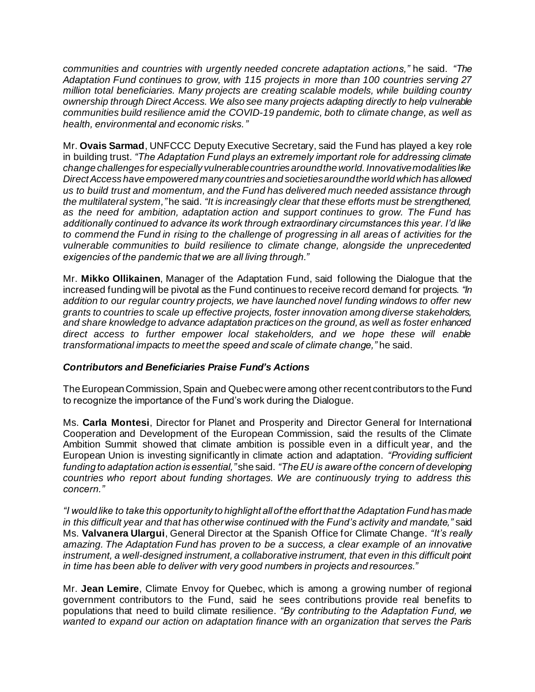*communities and countries with urgently needed concrete adaptation actions,"* he said. *"The Adaptation Fund continues to grow, with 115 projects in more than 100 countries serving 27 million total beneficiaries. Many projects are creating scalable models, while building country ownership through Direct Access. We also see many projects adapting directly to help vulnerable communities build resilience amid the COVID-19 pandemic, both to climate change, as well as health, environmental and economic risks."*

Mr. **Ovais Sarmad**, UNFCCC Deputy Executive Secretary, said the Fund has played a key role in building trust. *"The Adaptation Fund plays an extremely important role for addressing climate change challenges for especially vulnerable countries around the world. Innovative modalities like Direct Access have empowered many countries and societies around the world which has allowed us to build trust and momentum, and the Fund has delivered much needed assistance through the multilateral system,"* he said. *"It is increasingly clear that these efforts must be strengthened, as the need for ambition, adaptation action and support continues to grow. The Fund has additionally continued to advance its work through extraordinary circumstances this year. I'd like to commend the Fund in rising to the challenge of progressing in all areas of activities for the vulnerable communities to build resilience to climate change, alongside the unprecedented exigencies of the pandemic that we are all living through."*

Mr. **Mikko Ollikainen**, Manager of the Adaptation Fund, said following the Dialogue that the increased funding will be pivotal as the Fund continues to receive record demand for projects. *"In addition to our regular country projects, we have launched novel funding windows to offer new grants to countries to scale up effective projects, foster innovation among diverse stakeholders, and share knowledge to advance adaptation practices on the ground, as well as foster enhanced direct access to further empower local stakeholders, and we hope these will enable transformational impacts to meet the speed and scale of climate change,"* he said.

## *Contributors and Beneficiaries Praise Fund's Actions*

The European Commission, Spain and Quebec were among other recent contributors to the Fund to recognize the importance of the Fund's work during the Dialogue.

Ms. **Carla Montesi**, Director for Planet and Prosperity and Director General for International Cooperation and Development of the European Commission, said the results of the Climate Ambition Summit showed that climate ambition is possible even in a difficult year, and the European Union is investing significantly in climate action and adaptation. *"Providing sufficient funding to adaptation action is essential,"* she said. *"The EU is aware of the concern of developing countries who report about funding shortages. We are continuously trying to address this concern."*

*"I would like to take this opportunity to highlight all of the effort that the Adaptation Fund has made in this difficult year and that has otherwise continued with the Fund's activity and mandate,"* said Ms. **Valvanera Ulargui**, General Director at the Spanish Office for Climate Change. *"It's really amazing. The Adaptation Fund has proven to be a success, a clear example of an innovative instrument, a well-designed instrument, a collaborative instrument, that even in this difficult point in time has been able to deliver with very good numbers in projects and resources."*

Mr. **Jean Lemire**, Climate Envoy for Quebec, which is among a growing number of regional government contributors to the Fund, said he sees contributions provide real benefits to populations that need to build climate resilience. *"By contributing to the Adaptation Fund, we wanted to expand our action on adaptation finance with an organization that serves the Paris*